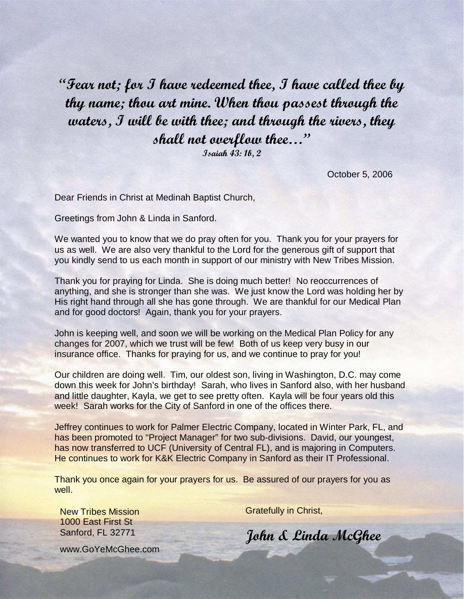"Fear not; for I have redeemed thee, I have called thee by thy name; thou art mine. When thou passest through the waters, I will be with thee; and through the rivers, they shall not overflow thee…"

Isaiah 43: 1b, 2

October 5, 2006

Dear Friends in Christ at Medinah Baptist Church,

Greetings from John & Linda in Sanford.

We wanted you to know that we do pray often for you. Thank you for your prayers for us as well. We are also very thankful to the Lord for the generous gift of support that you kindly send to us each month in support of our ministry with New Tribes Mission.

Thank you for praying for Linda. She is doing much better! No reoccurrences of anything, and she is stronger than she was. We just know the Lord was holding her by His right hand through all she has gone through. We are thankful for our Medical Plan and for good doctors! Again, thank you for your prayers.

John is keeping well, and soon we will be working on the Medical Plan Policy for any changes for 2007, which we trust will be few! Both of us keep very busy in our insurance office. Thanks for praying for us, and we continue to pray for you!

Our children are doing well. Tim, our oldest son, living in Washington, D.C. may come down this week for John's birthday! Sarah, who lives in Sanford also, with her husband and little daughter, Kayla, we get to see pretty often. Kayla will be four years old this week! Sarah works for the City of Sanford in one of the offices there.

Jeffrey continues to work for Palmer Electric Company, located in Winter Park, FL, and has been promoted to "Project Manager" for two sub-divisions. David, our youngest, has now transferred to UCF (University of Central FL), and is majoring in Computers. He continues to work for K&K Electric Company in Sanford as their IT Professional.

Thank you once again for your prayers for us. Be assured of our prayers for you as well.

New Tribes Mission 1000 East First St Sanford, FL 32771

Gratefully in Christ,

John & Linda McGhee

www.GoYeMcGhee.com